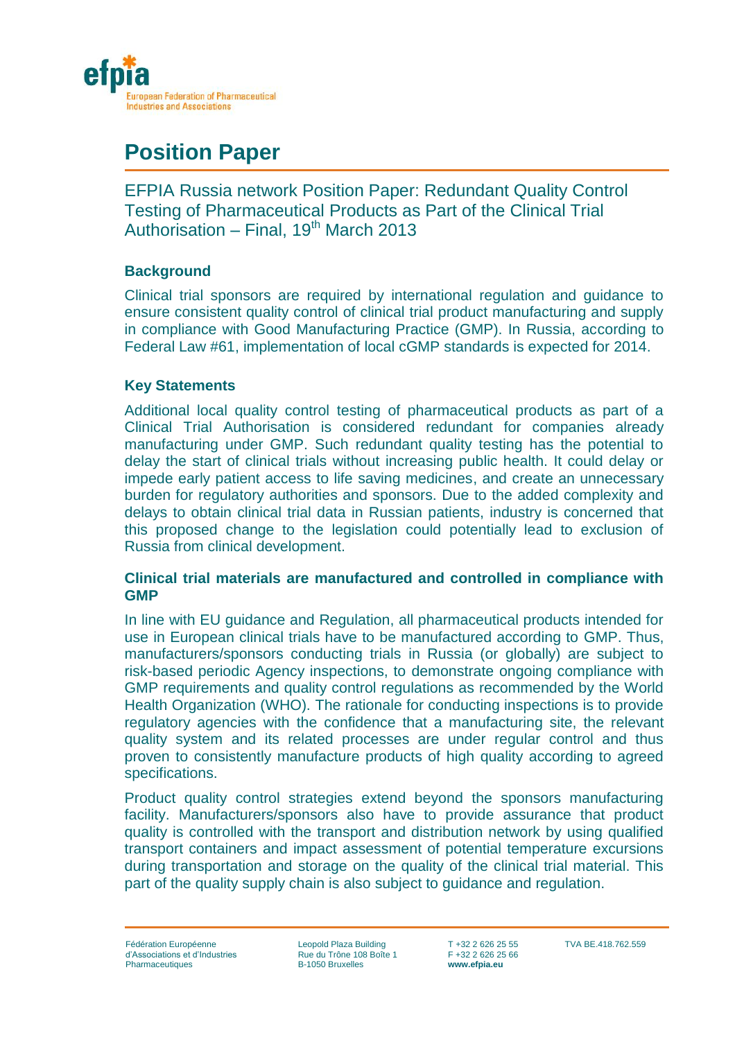

# **Position Paper**

EFPIA Russia network Position Paper: Redundant Quality Control Testing of Pharmaceutical Products as Part of the Clinical Trial Authorisation – Final, 19<sup>th</sup> March 2013

## **Background**

Clinical trial sponsors are required by international regulation and guidance to ensure consistent quality control of clinical trial product manufacturing and supply in compliance with Good Manufacturing Practice (GMP). In Russia, according to Federal Law #61, implementation of local cGMP standards is expected for 2014.

### **Key Statements**

Additional local quality control testing of pharmaceutical products as part of a Clinical Trial Authorisation is considered redundant for companies already manufacturing under GMP. Such redundant quality testing has the potential to delay the start of clinical trials without increasing public health. It could delay or impede early patient access to life saving medicines, and create an unnecessary burden for regulatory authorities and sponsors. Due to the added complexity and delays to obtain clinical trial data in Russian patients, industry is concerned that this proposed change to the legislation could potentially lead to exclusion of Russia from clinical development.

### **Clinical trial materials are manufactured and controlled in compliance with GMP**

In line with EU guidance and Regulation, all pharmaceutical products intended for use in European clinical trials have to be manufactured according to GMP. Thus, manufacturers/sponsors conducting trials in Russia (or globally) are subject to risk-based periodic Agency inspections, to demonstrate ongoing compliance with GMP requirements and quality control regulations as recommended by the World Health Organization (WHO). The rationale for conducting inspections is to provide regulatory agencies with the confidence that a manufacturing site, the relevant quality system and its related processes are under regular control and thus proven to consistently manufacture products of high quality according to agreed specifications.

Product quality control strategies extend beyond the sponsors manufacturing facility. Manufacturers/sponsors also have to provide assurance that product quality is controlled with the transport and distribution network by using qualified transport containers and impact assessment of potential temperature excursions during transportation and storage on the quality of the clinical trial material. This part of the quality supply chain is also subject to guidance and regulation.

Leopold Plaza Building Rue du Trône 108 Boîte 1 B-1050 Bruxelles

T +32 2 626 25 55 F +32 2 626 25 66 **www.efpia.eu**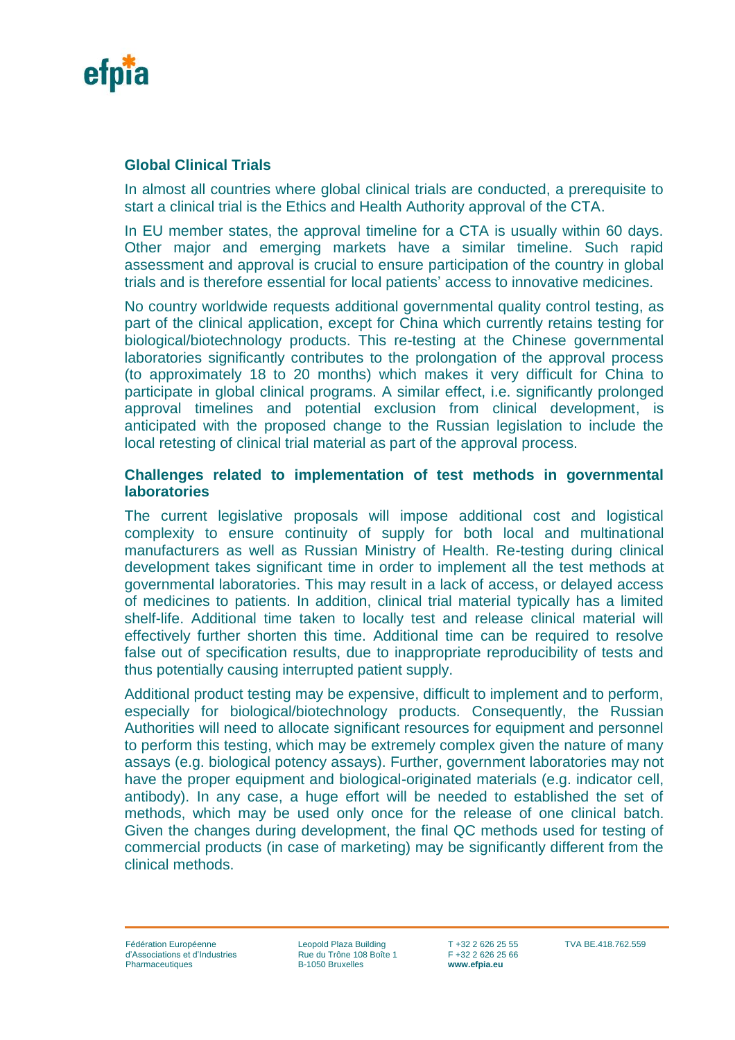

## **Global Clinical Trials**

In almost all countries where global clinical trials are conducted, a prerequisite to start a clinical trial is the Ethics and Health Authority approval of the CTA.

In EU member states, the approval timeline for a CTA is usually within 60 days. Other major and emerging markets have a similar timeline. Such rapid assessment and approval is crucial to ensure participation of the country in global trials and is therefore essential for local patients' access to innovative medicines.

No country worldwide requests additional governmental quality control testing, as part of the clinical application, except for China which currently retains testing for biological/biotechnology products. This re-testing at the Chinese governmental laboratories significantly contributes to the prolongation of the approval process (to approximately 18 to 20 months) which makes it very difficult for China to participate in global clinical programs. A similar effect, i.e. significantly prolonged approval timelines and potential exclusion from clinical development, is anticipated with the proposed change to the Russian legislation to include the local retesting of clinical trial material as part of the approval process.

#### **Challenges related to implementation of test methods in governmental laboratories**

The current legislative proposals will impose additional cost and logistical complexity to ensure continuity of supply for both local and multinational manufacturers as well as Russian Ministry of Health. Re-testing during clinical development takes significant time in order to implement all the test methods at governmental laboratories. This may result in a lack of access, or delayed access of medicines to patients. In addition, clinical trial material typically has a limited shelf-life. Additional time taken to locally test and release clinical material will effectively further shorten this time. Additional time can be required to resolve false out of specification results, due to inappropriate reproducibility of tests and thus potentially causing interrupted patient supply.

Additional product testing may be expensive, difficult to implement and to perform, especially for biological/biotechnology products. Consequently, the Russian Authorities will need to allocate significant resources for equipment and personnel to perform this testing, which may be extremely complex given the nature of many assays (e.g. biological potency assays). Further, government laboratories may not have the proper equipment and biological-originated materials (e.g. indicator cell, antibody). In any case, a huge effort will be needed to established the set of methods, which may be used only once for the release of one clinical batch. Given the changes during development, the final QC methods used for testing of commercial products (in case of marketing) may be significantly different from the clinical methods.

Leopold Plaza Building Rue du Trône 108 Boîte 1 B-1050 Bruxelles

T +32 2 626 25 55 F +32 2 626 25 66 **www.efpia.eu**